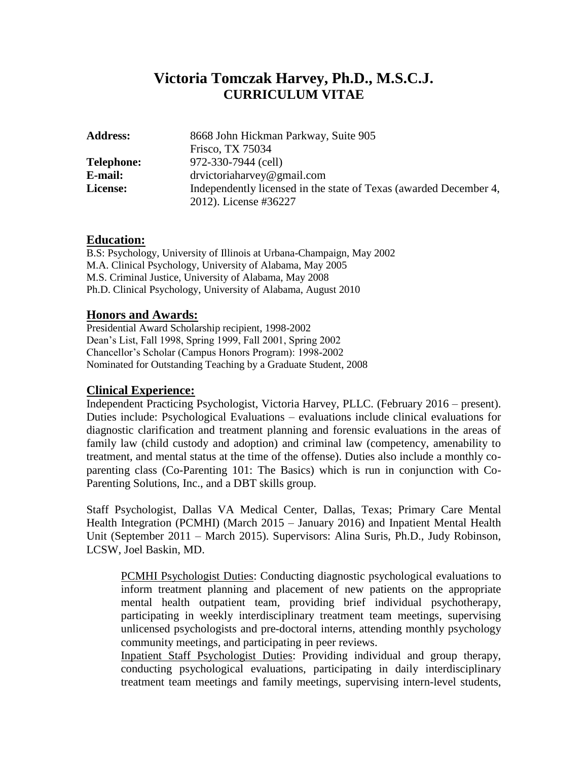# **Victoria Tomczak Harvey, Ph.D., M.S.C.J. CURRICULUM VITAE**

| <b>Address:</b>   | 8668 John Hickman Parkway, Suite 905                              |
|-------------------|-------------------------------------------------------------------|
|                   | Frisco, TX 75034                                                  |
| <b>Telephone:</b> | 972-330-7944 (cell)                                               |
| E-mail:           | drvictorialarvey@gmail.com                                        |
| License:          | Independently licensed in the state of Texas (awarded December 4, |
|                   | 2012). License #36227                                             |

## **Education:**

B.S: Psychology, University of Illinois at Urbana-Champaign, May 2002 M.A. Clinical Psychology, University of Alabama, May 2005 M.S. Criminal Justice, University of Alabama, May 2008 Ph.D. Clinical Psychology, University of Alabama, August 2010

## **Honors and Awards:**

Presidential Award Scholarship recipient, 1998-2002 Dean's List, Fall 1998, Spring 1999, Fall 2001, Spring 2002 Chancellor's Scholar (Campus Honors Program): 1998-2002 Nominated for Outstanding Teaching by a Graduate Student, 2008

## **Clinical Experience:**

Independent Practicing Psychologist, Victoria Harvey, PLLC. (February 2016 – present). Duties include: Psychological Evaluations – evaluations include clinical evaluations for diagnostic clarification and treatment planning and forensic evaluations in the areas of family law (child custody and adoption) and criminal law (competency, amenability to treatment, and mental status at the time of the offense). Duties also include a monthly coparenting class (Co-Parenting 101: The Basics) which is run in conjunction with Co-Parenting Solutions, Inc., and a DBT skills group.

Staff Psychologist, Dallas VA Medical Center, Dallas, Texas; Primary Care Mental Health Integration (PCMHI) (March 2015 – January 2016) and Inpatient Mental Health Unit (September 2011 – March 2015). Supervisors: Alina Suris, Ph.D., Judy Robinson, LCSW, Joel Baskin, MD.

PCMHI Psychologist Duties: Conducting diagnostic psychological evaluations to inform treatment planning and placement of new patients on the appropriate mental health outpatient team, providing brief individual psychotherapy, participating in weekly interdisciplinary treatment team meetings, supervising unlicensed psychologists and pre-doctoral interns, attending monthly psychology community meetings, and participating in peer reviews.

Inpatient Staff Psychologist Duties: Providing individual and group therapy, conducting psychological evaluations, participating in daily interdisciplinary treatment team meetings and family meetings, supervising intern-level students,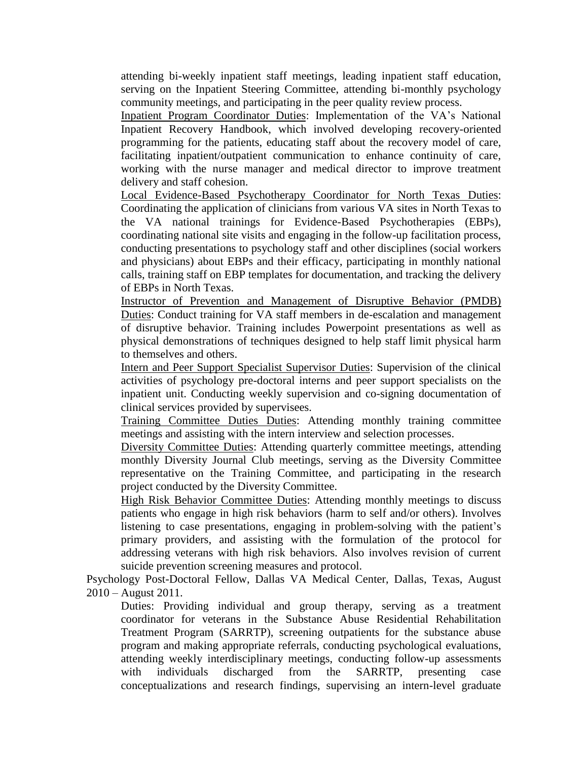attending bi-weekly inpatient staff meetings, leading inpatient staff education, serving on the Inpatient Steering Committee, attending bi-monthly psychology community meetings, and participating in the peer quality review process.

Inpatient Program Coordinator Duties: Implementation of the VA's National Inpatient Recovery Handbook, which involved developing recovery-oriented programming for the patients, educating staff about the recovery model of care, facilitating inpatient/outpatient communication to enhance continuity of care, working with the nurse manager and medical director to improve treatment delivery and staff cohesion.

Local Evidence-Based Psychotherapy Coordinator for North Texas Duties: Coordinating the application of clinicians from various VA sites in North Texas to the VA national trainings for Evidence-Based Psychotherapies (EBPs), coordinating national site visits and engaging in the follow-up facilitation process, conducting presentations to psychology staff and other disciplines (social workers and physicians) about EBPs and their efficacy, participating in monthly national calls, training staff on EBP templates for documentation, and tracking the delivery of EBPs in North Texas.

Instructor of Prevention and Management of Disruptive Behavior (PMDB) Duties: Conduct training for VA staff members in de-escalation and management of disruptive behavior. Training includes Powerpoint presentations as well as physical demonstrations of techniques designed to help staff limit physical harm to themselves and others.

Intern and Peer Support Specialist Supervisor Duties: Supervision of the clinical activities of psychology pre-doctoral interns and peer support specialists on the inpatient unit. Conducting weekly supervision and co-signing documentation of clinical services provided by supervisees.

Training Committee Duties Duties: Attending monthly training committee meetings and assisting with the intern interview and selection processes.

Diversity Committee Duties: Attending quarterly committee meetings, attending monthly Diversity Journal Club meetings, serving as the Diversity Committee representative on the Training Committee, and participating in the research project conducted by the Diversity Committee.

High Risk Behavior Committee Duties: Attending monthly meetings to discuss patients who engage in high risk behaviors (harm to self and/or others). Involves listening to case presentations, engaging in problem-solving with the patient's primary providers, and assisting with the formulation of the protocol for addressing veterans with high risk behaviors. Also involves revision of current suicide prevention screening measures and protocol.

Psychology Post-Doctoral Fellow, Dallas VA Medical Center, Dallas, Texas, August 2010 – August 2011.

Duties: Providing individual and group therapy, serving as a treatment coordinator for veterans in the Substance Abuse Residential Rehabilitation Treatment Program (SARRTP), screening outpatients for the substance abuse program and making appropriate referrals, conducting psychological evaluations, attending weekly interdisciplinary meetings, conducting follow-up assessments with individuals discharged from the SARRTP, presenting case conceptualizations and research findings, supervising an intern-level graduate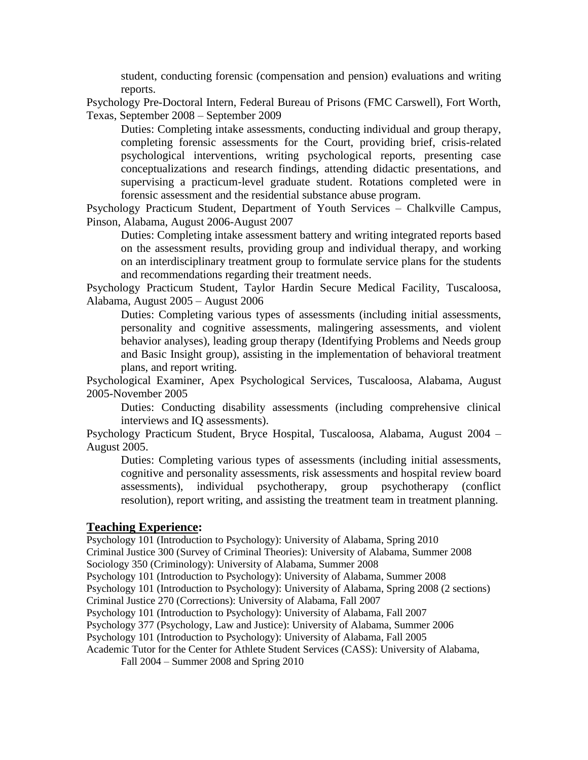student, conducting forensic (compensation and pension) evaluations and writing reports.

Psychology Pre-Doctoral Intern, Federal Bureau of Prisons (FMC Carswell), Fort Worth, Texas, September 2008 – September 2009

Duties: Completing intake assessments, conducting individual and group therapy, completing forensic assessments for the Court, providing brief, crisis-related psychological interventions, writing psychological reports, presenting case conceptualizations and research findings, attending didactic presentations, and supervising a practicum-level graduate student. Rotations completed were in forensic assessment and the residential substance abuse program.

Psychology Practicum Student, Department of Youth Services – Chalkville Campus, Pinson, Alabama, August 2006-August 2007

Duties: Completing intake assessment battery and writing integrated reports based on the assessment results, providing group and individual therapy, and working on an interdisciplinary treatment group to formulate service plans for the students and recommendations regarding their treatment needs.

Psychology Practicum Student, Taylor Hardin Secure Medical Facility, Tuscaloosa, Alabama, August 2005 – August 2006

Duties: Completing various types of assessments (including initial assessments, personality and cognitive assessments, malingering assessments, and violent behavior analyses), leading group therapy (Identifying Problems and Needs group and Basic Insight group), assisting in the implementation of behavioral treatment plans, and report writing.

Psychological Examiner, Apex Psychological Services, Tuscaloosa, Alabama, August 2005-November 2005

Duties: Conducting disability assessments (including comprehensive clinical interviews and IQ assessments).

Psychology Practicum Student, Bryce Hospital, Tuscaloosa, Alabama, August 2004 – August 2005.

Duties: Completing various types of assessments (including initial assessments, cognitive and personality assessments, risk assessments and hospital review board assessments), individual psychotherapy, group psychotherapy (conflict resolution), report writing, and assisting the treatment team in treatment planning.

#### **Teaching Experience:**

Psychology 101 (Introduction to Psychology): University of Alabama, Spring 2010 Criminal Justice 300 (Survey of Criminal Theories): University of Alabama, Summer 2008 Sociology 350 (Criminology): University of Alabama, Summer 2008 Psychology 101 (Introduction to Psychology): University of Alabama, Summer 2008 Psychology 101 (Introduction to Psychology): University of Alabama, Spring 2008 (2 sections) Criminal Justice 270 (Corrections): University of Alabama, Fall 2007 Psychology 101 (Introduction to Psychology): University of Alabama, Fall 2007 Psychology 377 (Psychology, Law and Justice): University of Alabama, Summer 2006 Psychology 101 (Introduction to Psychology): University of Alabama, Fall 2005 Academic Tutor for the Center for Athlete Student Services (CASS): University of Alabama, Fall 2004 – Summer 2008 and Spring 2010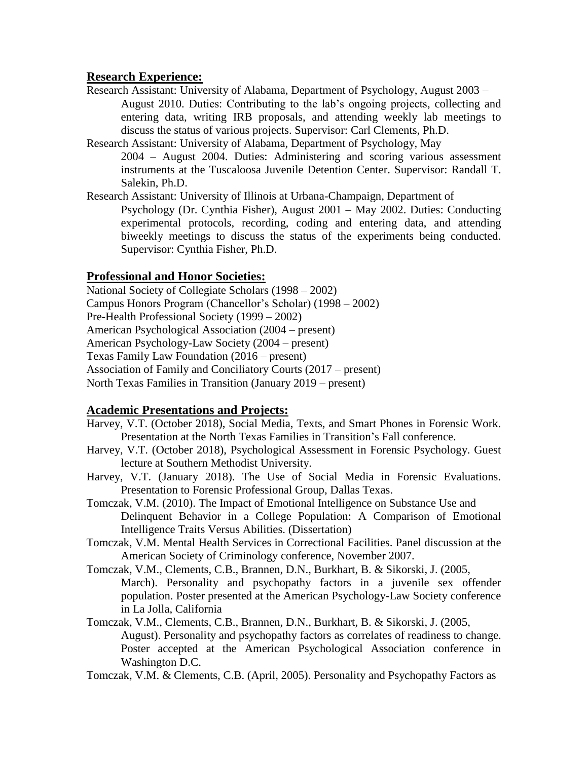# **Research Experience:**

- Research Assistant: University of Alabama, Department of Psychology, August 2003 August 2010. Duties: Contributing to the lab's ongoing projects, collecting and entering data, writing IRB proposals, and attending weekly lab meetings to discuss the status of various projects. Supervisor: Carl Clements, Ph.D.
- Research Assistant: University of Alabama, Department of Psychology, May 2004 – August 2004. Duties: Administering and scoring various assessment instruments at the Tuscaloosa Juvenile Detention Center. Supervisor: Randall T. Salekin, Ph.D.
- Research Assistant: University of Illinois at Urbana-Champaign, Department of Psychology (Dr. Cynthia Fisher), August 2001 – May 2002. Duties: Conducting experimental protocols, recording, coding and entering data, and attending biweekly meetings to discuss the status of the experiments being conducted. Supervisor: Cynthia Fisher, Ph.D.

# **Professional and Honor Societies:**

National Society of Collegiate Scholars (1998 – 2002) Campus Honors Program (Chancellor's Scholar) (1998 – 2002) Pre-Health Professional Society (1999 – 2002) American Psychological Association (2004 – present) American Psychology-Law Society (2004 – present) Texas Family Law Foundation (2016 – present) Association of Family and Conciliatory Courts (2017 – present) North Texas Families in Transition (January 2019 – present)

# **Academic Presentations and Projects:**

- Harvey, V.T. (October 2018), Social Media, Texts, and Smart Phones in Forensic Work. Presentation at the North Texas Families in Transition's Fall conference.
- Harvey, V.T. (October 2018), Psychological Assessment in Forensic Psychology. Guest lecture at Southern Methodist University.
- Harvey, V.T. (January 2018). The Use of Social Media in Forensic Evaluations. Presentation to Forensic Professional Group, Dallas Texas.
- Tomczak, V.M. (2010). The Impact of Emotional Intelligence on Substance Use and Delinquent Behavior in a College Population: A Comparison of Emotional Intelligence Traits Versus Abilities. (Dissertation)
- Tomczak, V.M. Mental Health Services in Correctional Facilities. Panel discussion at the American Society of Criminology conference, November 2007.
- Tomczak, V.M., Clements, C.B., Brannen, D.N., Burkhart, B. & Sikorski, J. (2005, March). Personality and psychopathy factors in a juvenile sex offender population. Poster presented at the American Psychology-Law Society conference in La Jolla, California
- Tomczak, V.M., Clements, C.B., Brannen, D.N., Burkhart, B. & Sikorski, J. (2005, August). Personality and psychopathy factors as correlates of readiness to change. Poster accepted at the American Psychological Association conference in Washington D.C.

Tomczak, V.M. & Clements, C.B. (April, 2005). Personality and Psychopathy Factors as